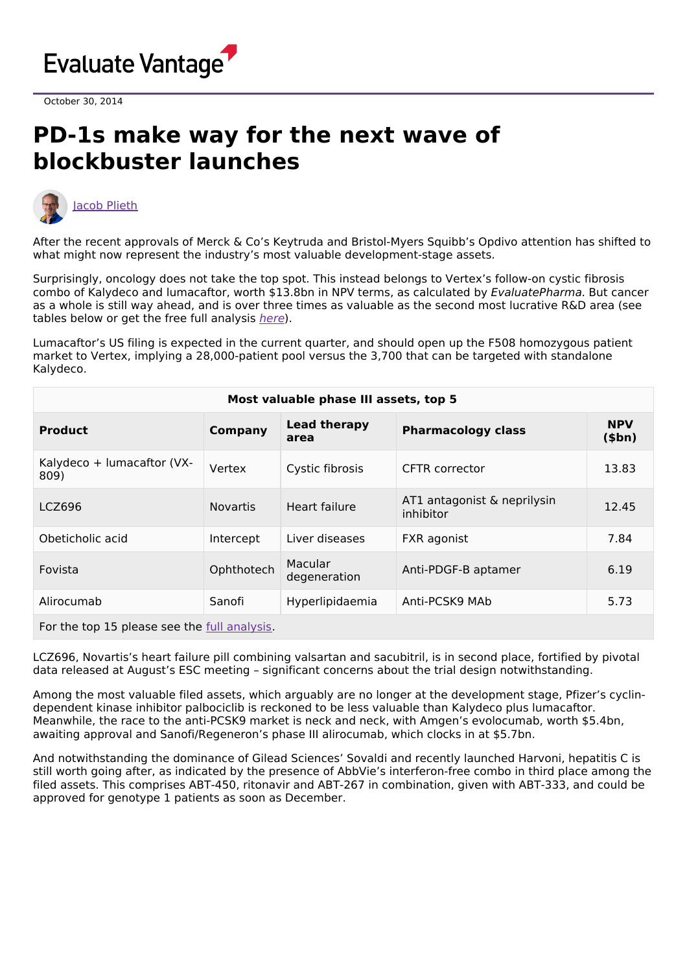

October 30, 2014

## **PD-1s make way for the next wave of blockbuster launches**



After the recent approvals of Merck & Co's Keytruda and Bristol-Myers Squibb's Opdivo attention has shifted to what might now represent the industry's most valuable development-stage assets.

Surprisingly, oncology does not take the top spot. This instead belongs to Vertex's follow-on cystic fibrosis combo of Kalydeco and lumacaftor, worth \$13.8bn in NPV terms, as calculated by EvaluatePharma. But cancer as a whole is still way ahead, and is over three times as valuable as the second most lucrative R&D area (see tables below or get the free full analysis [here](http://info.evaluategroup.com/epv-randd2014-lp-epvart.html)).

Lumacaftor's US filing is expected in the current quarter, and should open up the F508 homozygous patient market to Vertex, implying a 28,000-patient pool versus the 3,700 that can be targeted with standalone Kalydeco.

| Most valuable phase III assets, top 5 |                 |                             |                                          |                        |  |  |
|---------------------------------------|-----------------|-----------------------------|------------------------------------------|------------------------|--|--|
| <b>Product</b>                        | <b>Company</b>  | <b>Lead therapy</b><br>area | <b>Pharmacology class</b>                | <b>NPV</b><br>$(\$bn)$ |  |  |
| Kalydeco + lumacaftor (VX-<br>809)    | Vertex          | Cystic fibrosis             | CFTR corrector                           | 13.83                  |  |  |
| LCZ696                                | <b>Novartis</b> | Heart failure               | AT1 antagonist & neprilysin<br>inhibitor | 12.45                  |  |  |
| Obeticholic acid                      | Intercept       | Liver diseases              | FXR agonist                              | 7.84                   |  |  |
| Fovista                               | Ophthotech      | Macular<br>degeneration     | Anti-PDGF-B aptamer                      | 6.19                   |  |  |
| Alirocumab                            | Sanofi          | Hyperlipidaemia             | Anti-PCSK9 MAb                           | 5.73                   |  |  |

For the top 15 please see the full [analysis.](http://info.evaluategroup.com/epv-randd2014-lp-epvart.html)

LCZ696, Novartis's heart failure pill combining valsartan and sacubitril, is in second place, fortified by pivotal data released at August's ESC meeting – significant concerns about the trial design notwithstanding.

Among the most valuable filed assets, which arguably are no longer at the development stage, Pfizer's cyclindependent kinase inhibitor palbociclib is reckoned to be less valuable than Kalydeco plus lumacaftor. Meanwhile, the race to the anti-PCSK9 market is neck and neck, with Amgen's evolocumab, worth \$5.4bn, awaiting approval and Sanofi/Regeneron's phase III alirocumab, which clocks in at \$5.7bn.

And notwithstanding the dominance of Gilead Sciences' Sovaldi and recently launched Harvoni, hepatitis C is still worth going after, as indicated by the presence of AbbVie's interferon-free combo in third place among the filed assets. This comprises ABT-450, ritonavir and ABT-267 in combination, given with ABT-333, and could be approved for genotype 1 patients as soon as December.